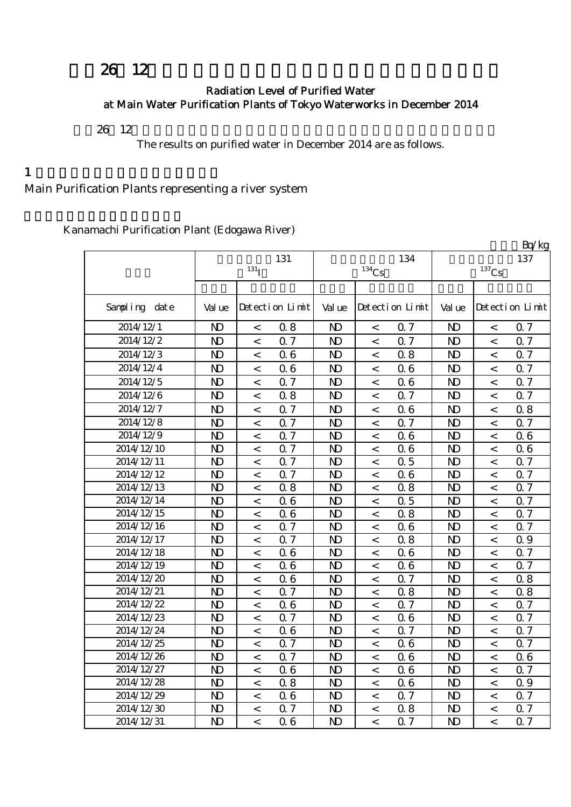# 26 12

#### Radiation Level of Purified Water at Main Water Purification Plants of Tokyo Waterworks in December 2014

平成26年12月の主要浄水場の浄水(水道水)の放射能測定結果をお知らせします。

The results on purified water in December 2014 are as follows.

 $1$ 

## Main Purification Plants representing a river system

Kanamachi Purification Plant (Edogawa River)

|               |                |                          |                 |                |          |                 |                |                | Bq/kg           |
|---------------|----------------|--------------------------|-----------------|----------------|----------|-----------------|----------------|----------------|-----------------|
|               |                |                          | 131             |                |          | 134             |                |                | 137             |
|               |                | 131 <sub>I</sub>         |                 |                | $134$ Cs |                 |                | $137$ Cs       |                 |
|               |                |                          |                 |                |          |                 |                |                |                 |
| Sampling date | Val ue         |                          | Detection Limit | Val ue         |          | Detection Limit | Val ue         |                | Detection Limit |
| 2014/12/1     | $\mathbf{D}$   | $\,<\,$                  | 0.8             | $\mathbf{D}$   | $\,<\,$  | Q 7             | $\mathbf{D}$   | $\,<$          | 0.7             |
| 2014/12/2     | $\mathbf{D}$   | $\lt$                    | 0.7             | $\mathbf{D}$   | $\,<\,$  | Q 7             | $\mathbf{D}$   | $\prec$        | 0.7             |
| 2014/12/3     | $\mathbf{D}$   | $\,<\,$                  | 06              | $\mathbf{D}$   | $\,<\,$  | 0.8             | $\mathbf{D}$   | $\prec$        | 0.7             |
| 2014/12/4     | $\mathbf{D}$   | $\,<$                    | 06              | N <sub>D</sub> | $\,<\,$  | 06              | $\mathbf{D}$   | $\,<$          | 0.7             |
| 2014/12/5     | $\mathbf{D}$   | $\,<$                    | 0.7             | $\mathbf{D}$   | $\,<\,$  | 06              | N <sub>D</sub> | $\,<$          | 0.7             |
| 2014/12/6     | N <sub>D</sub> | $\lt$                    | 0.8             | N <sub>D</sub> | $\,<\,$  | 0.7             | $\mathbf{D}$   | $\prec$        | 0.7             |
| 2014/12/7     | $\mathbf{D}$   | $\,<$                    | 0.7             | N <sub>D</sub> | $\,<\,$  | 06              | $\mathbf{D}$   | $\,<\,$        | 0.8             |
| 2014/12/8     | $\mathbf{D}$   | $\,<$                    | Q 7             | N <sub>D</sub> | $\,<\,$  | 0.7             | N <sub>D</sub> | $\,<\,$        | 0.7             |
| 2014/12/9     | $\mathbf{D}$   | $\,<\,$                  | 0.7             | N <sub>D</sub> | $\,<\,$  | 06              | N <sub>D</sub> | $\,<\,$        | 0.6             |
| 2014/12/10    | N <sub>D</sub> | $\,<$                    | 0.7             | N <sub>D</sub> | $\,<\,$  | 06              | N <sub>D</sub> | $\,<\,$        | 06              |
| 2014/12/11    | N <sub>D</sub> | $\,<\,$                  | 0.7             | N <sub>D</sub> | $\,<\,$  | 0.5             | N <sub>D</sub> | $\,<\,$        | 0.7             |
| 2014/12/12    | N <sub>D</sub> | $\,<$                    | 0.7             | N <sub>D</sub> | $\,<\,$  | 06              | N <sub>D</sub> | $\lt$          | 0.7             |
| 2014/12/13    | N <sub>D</sub> | $\,<\,$                  | 0.8             | N <sub>D</sub> | $\,<\,$  | 08              | N <sub>D</sub> | $\lt$          | 0.7             |
| 2014/12/14    | N <sub>D</sub> | $\,<$                    | 06              | N <sub>D</sub> | $\,<\,$  | 0.5             | N <sub>D</sub> | $\lt$          | Q 7             |
| 2014/12/15    | N <sub>D</sub> | $\lt$                    | 06              | N <sub>D</sub> | $\,<\,$  | 0.8             | N <sub>D</sub> | $\overline{a}$ | 0.7             |
| 2014/12/16    | N <sub>D</sub> | $\overline{\phantom{a}}$ | 0.7             | N <sub>D</sub> | $\,<\,$  | 06              | N <sub>D</sub> | $\prec$        | 0.7             |
| 2014/12/17    | N <sub>D</sub> | $\,<\,$                  | 0.7             | N <sub>D</sub> | $\,<\,$  | 0.8             | N <sub>D</sub> | $\,<$          | 0.9             |
| 2014/12/18    | N <sub>D</sub> | $\,<\,$                  | 06              | N <sub>D</sub> | $\,<\,$  | 06              | N <sub>D</sub> | $\,<$          | 0.7             |
| 2014/12/19    | N <sub>D</sub> | $\,<\,$                  | 06              | N <sub>D</sub> | $\,<\,$  | 06              | N <sub>D</sub> | $\prec$        | 0.7             |
| 2014/12/20    | N <sub>D</sub> | $\,<\,$                  | 06              | N <sub>D</sub> | $\,<\,$  | 0.7             | N <sub>D</sub> | $\,<$          | 0.8             |
| 2014/12/21    | N <sub>D</sub> | $\,<\,$                  | 0.7             | N <sub>D</sub> | $\,<\,$  | 0.8             | N <sub>D</sub> | $\,<$          | 0.8             |
| 2014/12/22    | N <sub>D</sub> | $\prec$                  | 06              | N <sub>D</sub> | $\,<$    | 0.7             | N <sub>D</sub> | $\,<$          | 0.7             |
| 2014/12/23    | N <sub>D</sub> | $\,<$                    | 0.7             | N <sub>D</sub> | $\,<\,$  | 06              | N <sub>D</sub> | $\,<\,$        | 0.7             |
| 2014/12/24    | $\mathbf{D}$   | $\overline{\phantom{0}}$ | 06              | N <sub>D</sub> | $\,<$    | 0.7             | N <sub>D</sub> | $\lt$          | 0.7             |
| 2014/12/25    | N <sub>D</sub> | $\,<\,$                  | 0.7             | N <sub>D</sub> | $\,<\,$  | 06              | N <sub>D</sub> | $\,<$          | 0.7             |
| 2014/12/26    | $\mathbf{D}$   | $\,<\,$                  | 0.7             | N <sub>D</sub> | $\,<$    | 06              | N <sub>D</sub> | $\,<$          | 0.6             |
| 2014/12/27    | N <sub>D</sub> | $\,<$                    | 06              | N <sub>D</sub> | $\,<\,$  | 06              | N <sub>D</sub> | $\overline{a}$ | 0.7             |
| 2014/12/28    | N <sub>D</sub> | $\lt$                    | 0.8             | N <sub>D</sub> | $\lt$    | 06              | $\mathbf{D}$   | $\prec$        | 0.9             |
| 2014/12/29    | $\mathbf{D}$   | $\,<\,$                  | 06              | N <sub>D</sub> | $\,<\,$  | 0.7             | $\mathbf{D}$   | $\prec$        | 0.7             |
| 2014/12/30    | $\mathbf{D}$   | $\,<$                    | 0.7             | N <sub>D</sub> | $\,<\,$  | 0.8             | $\mathbf{D}$   | $\,<$          | 0.7             |
| 2014/12/31    | N <sub>D</sub> | $\,<$                    | 06              | N <sub>D</sub> | $\,<\,$  | 0.7             | $\mathbf{D}$   | $\overline{a}$ | 0.7             |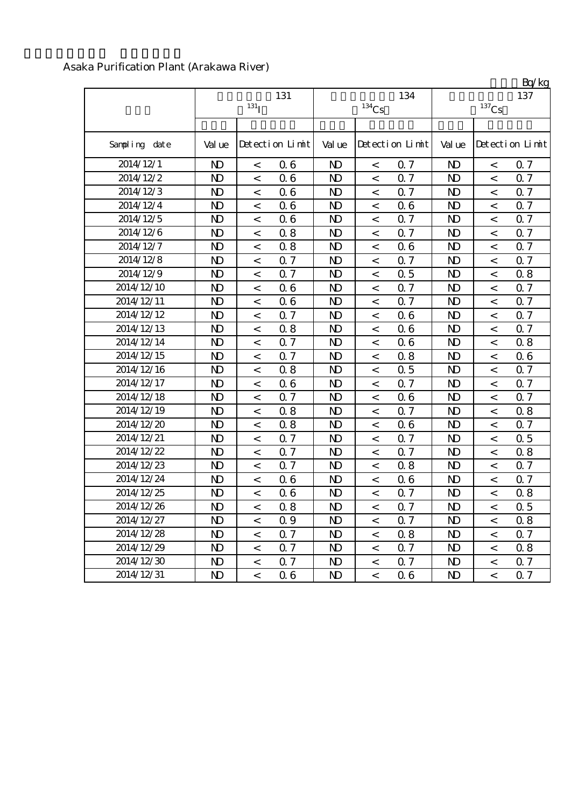|               |                |                          |                 |                |                          |                 |                |          | Bq/kg           |
|---------------|----------------|--------------------------|-----------------|----------------|--------------------------|-----------------|----------------|----------|-----------------|
|               |                | 131 <sub>I</sub>         | 131             |                | $^{134}\mathrm{Cs}$      | 134             |                | $137$ Cs | 137             |
|               |                |                          |                 |                |                          |                 |                |          |                 |
| Sampling date | Val ue         |                          | Detection Limit | Val ue         |                          | Detection Limit | Val ue         |          | Detection Limit |
| 2014/12/1     | $\mathbf{D}$   | $\lt$                    | 06              | N <sub>D</sub> | $\overline{\phantom{0}}$ | 0.7             | $\mathbf{D}$   | $\lt$    | 0.7             |
| 2014/12/2     | N <sub>D</sub> | $\,<\,$                  | 06              | N <sub>D</sub> | $\,<\,$                  | 0.7             | $\mathbf{D}$   | $\,<$    | 0.7             |
| 2014/12/3     | $\mathbf{D}$   | $\,<$                    | 06              | $\mathbf{D}$   | $\,<$                    | 0.7             | $\mathbf{N}$   | $\,<$    | 0.7             |
| 2014/12/4     | N <sub>D</sub> | $\,<$                    | 06              | N <sub>D</sub> | $\,<\,$                  | 06              | N <sub>D</sub> | $\,<$    | 0.7             |
| 2014/12/5     | N <sub>D</sub> | $\,<$                    | 06              | N <sub>D</sub> | $\,<$                    | 0.7             | $\mathbf{D}$   | $\,<$    | 0.7             |
| 2014/12/6     | N <sub>D</sub> | $\,<$                    | 0.8             | N <sub>D</sub> | $\,<\,$                  | 0.7             | $\mathbf{D}$   | $\,<$    | 0.7             |
| 2014/12/7     | N <sub>D</sub> | $\,<$                    | 0.8             | N <sub>D</sub> | $\,<$                    | 06              | $\mathbf{D}$   | $\,<$    | 0.7             |
| 2014/12/8     | N <sub>D</sub> | $\,<\,$                  | 0.7             | N <sub>D</sub> | $\,<$                    | 0.7             | $\mathbf{D}$   | $\,<$    | 0.7             |
| 2014/12/9     | N <sub>D</sub> | $\lt$                    | 0.7             | N <sub>D</sub> | $\lt$                    | 0.5             | $\mathbf{D}$   | $\lt$    | 0.8             |
| 2014/12/10    | N <sub>D</sub> | $\,<\,$                  | 06              | N <sub>D</sub> | $\,<$                    | 0.7             | $\mathbf{D}$   | $\,<$    | 0.7             |
| 2014/12/11    | $\mathbf{D}$   | $\,<$                    | 06              | N <sub>D</sub> | $\,<\,$                  | 0.7             | $\mathbf{D}$   | $\,<$    | 0.7             |
| 2014/12/12    | N <sub>D</sub> | $\,<$                    | 0.7             | N <sub>D</sub> | $\,<$                    | 06              | $\mathbf{D}$   | $\,<$    | 0.7             |
| 2014/12/13    | N <sub>D</sub> | $\,<\,$                  | 0.8             | N <sub>D</sub> | $\,<$                    | 06              | $\mathbf{D}$   | $\,<$    | 0.7             |
| 2014/12/14    | N <sub>D</sub> | $\,<$                    | 0.7             | N <sub>D</sub> | $\lt$                    | 06              | $\mathbf{D}$   | $\,<$    | 0.8             |
| 2014/12/15    | N <sub>D</sub> | $\,<\,$                  | Q <sub>7</sub>  | N <sub>D</sub> | $\,<\,$                  | 0.8             | $\mathbf{D}$   | $\,<$    | 0.6             |
| 2014/12/16    | $\mathbf{D}$   | $\,<\,$                  | 0.8             | N <sub>D</sub> | $\,<$                    | 0.5             | $\mathbf{D}$   | $\,<$    | 0.7             |
| 2014/12/17    | N <sub>D</sub> | $\,<\,$                  | 06              | N <sub>D</sub> | $\,<\,$                  | 0.7             | N <sub>D</sub> | $\,<$    | 0.7             |
| 2014/12/18    | N <sub>D</sub> | $\,<\,$                  | Q <sub>7</sub>  | N <sub>D</sub> | $\,<$                    | 06              | $\mathbf{D}$   | $\,<$    | 0.7             |
| 2014/12/19    | $\mathbf{D}$   | $\,<$                    | 0.8             | N <sub>D</sub> | $\,<\,$                  | 0.7             | $\mathbf{D}$   | $\,<$    | 0.8             |
| 2014/12/20    | N <sub>D</sub> | $\,<$                    | 0.8             | N <sub>D</sub> | $\,<$                    | 06              | $\mathbf{D}$   | $\,<$    | 0.7             |
| 2014/12/21    | N <sub>D</sub> | $\,<$                    | 0.7             | N <sub>D</sub> | $\,<$                    | 0.7             | $\mathbf{D}$   | $\,<$    | 0.5             |
| 2014/12/22    | N <sub>D</sub> | $\overline{a}$           | 0.7             | N <sub>D</sub> | $\lt$                    | 0.7             | $\mathbf{D}$   | $\prec$  | 0.8             |
| 2014/12/23    | N <sub>D</sub> | $\,<\,$                  | 0.7             | N <sub>D</sub> | $\,<\,$                  | 0.8             | $\mathbf{D}$   | $\,<$    | 0.7             |
| 2014/12/24    | $\mathbf{D}$   | $\,<$                    | 06              | $\mathbf{D}$   | $\,<$                    | 06              | $\mathbf{D}$   | $\,<$    | 0.7             |
| 2014/12/25    | N <sub>D</sub> | $\,<$                    | 06              | N)             | $\,<\,$                  | 0.7             | N <sub>D</sub> | $\,<$    | 0.8             |
| 2014/12/26    | N)             | $\,<\,$                  | 0.8             | N)             | $\,<$                    | 0.7             | N)             | $\,<\,$  | 0.5             |
| 2014/12/27    | N <sub>D</sub> | $\overline{\phantom{a}}$ | 0.9             | N <sub>D</sub> | $\,<$                    | 0.7             | N <sub>D</sub> | $\,<$    | 0.8             |
| 2014/12/28    | N <sub>D</sub> | $\,<\,$                  | 0.7             | N <sub>D</sub> | $\,<$                    | 0.8             | N <sub>D</sub> | $\,<$    | 0.7             |
| 2014/12/29    | N <sub>D</sub> | $\,<\,$                  | 0.7             | N <sub>D</sub> | $\,<\,$                  | 0.7             | N <sub>D</sub> | $\,<$    | 0.8             |
| 2014/12/30    | $\mathbf{D}$   | $\,<\,$                  | Q 7             | $\mathbf{D}$   | $\,<$                    | 0.7             | $\mathbf{D}$   | $\,<$    | 0.7             |
| 2014/12/31    | N <sub>D</sub> | $\lt$                    | 06              | $\mathbf{D}$   | $\,<\,$                  | 06              | N <sub>D</sub> | $\,<\,$  | 0.7             |

#### Asaka Purification Plant (Arakawa River)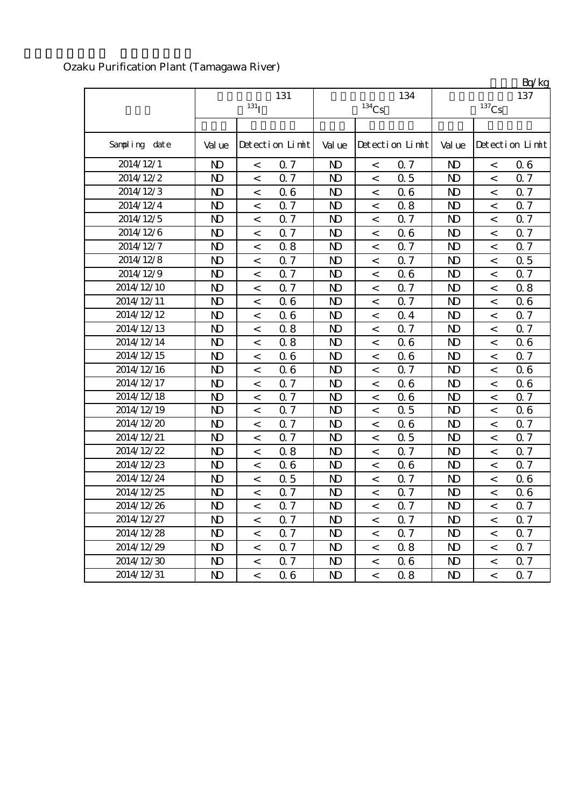|               |                |                          |                 |                |                     |                 |                |                          | Bq/kg           |
|---------------|----------------|--------------------------|-----------------|----------------|---------------------|-----------------|----------------|--------------------------|-----------------|
|               |                |                          | 131             |                |                     | 134             |                |                          | 137             |
|               |                | $131$ <sub>I</sub>       |                 |                | $^{134}\mathrm{Cs}$ |                 |                | $^{137}\mathrm{Cs}$      |                 |
|               |                |                          |                 |                |                     |                 |                |                          |                 |
| Sampling date | Val ue         |                          | Detection Limit | Val ue         |                     | Detection Limit | Val ue         |                          | Detection Limit |
| 2014/12/1     | N <sub>D</sub> | $\overline{\phantom{0}}$ | 0.7             | $\mathbf{D}$   | $\,<$               | 0.7             | N <sub>D</sub> | $\overline{\phantom{0}}$ | 06              |
| 2014/12/2     | N <sub>D</sub> | $\,<$                    | 0.7             | $\mathbf{D}$   | $\,<\,$             | 0.5             | N <sub>D</sub> | $\,<\,$                  | 0.7             |
| 2014/12/3     | $\mathbf{D}$   | $\,<$                    | 06              | $\mathbf{D}$   | $\,<\,$             | 06              | $\mathbf{D}$   | $\,<$                    | 0.7             |
| 2014/12/4     | N <sub>D</sub> | $\,<$                    | 0.7             | N <sub>D</sub> | $\,<$               | 0.8             | N <sub>D</sub> | $\,<$                    | 0.7             |
| 2014/12/5     | N <sub>D</sub> | $\,<$                    | 0.7             | N <sub>D</sub> | $\,<$               | 0.7             | N <sub>D</sub> | $\,<$                    | 0.7             |
| 2014/12/6     | N <sub>D</sub> | $\,<\,$                  | 0.7             | $\mathbf{D}$   | $\,<\,$             | 06              | N <sub>D</sub> | $\,<\,$                  | 0.7             |
| 2014/12/7     | N <sub>D</sub> | $\,<$                    | 0.8             | N <sub>D</sub> | $\,<$               | 0.7             | N <sub>D</sub> | $\,<\,$                  | 0.7             |
| 2014/12/8     | $\mathbf{D}$   | $\,<$                    | 0.7             | $\mathbf{D}$   | $\,<\,$             | 0.7             | $\mathbf{D}$   | $\,<$                    | 0.5             |
| 2014/12/9     | N <sub>D</sub> | $\prec$                  | 0.7             | N <sub>D</sub> | $\lt$               | 06              | N <sub>D</sub> | $\prec$                  | 0.7             |
| 2014/12/10    | N <sub>D</sub> | $\,<\,$                  | 0.7             | N <sub>D</sub> | $\,<\,$             | 0.7             | N <sub>D</sub> | $\,<\,$                  | 0.8             |
| 2014/12/11    | N <sub>D</sub> | $\lt$                    | 06              | $\mathbf{D}$   | $\,<\,$             | 0.7             | $\mathbf{D}$   | $\lt$                    | 0.6             |
| 2014/12/12    | N <sub>D</sub> | $\,<$                    | 06              | $\mathbf{D}$   | $\,<$               | 0.4             | N <sub>D</sub> | $\,<$                    | 0.7             |
| 2014/12/13    | N <sub>D</sub> | $\,<$                    | 0.8             | N <sub>D</sub> | $\,<\,$             | Q 7             | N <sub>D</sub> | $\lt$                    | 0.7             |
| 2014/12/14    | N <sub>D</sub> | $\lt$                    | 0.8             | $\mathbf{D}$   | $\lt$               | 06              | N <sub>D</sub> | $\prec$                  | 0.6             |
| 2014/12/15    | N <sub>D</sub> | $\,<$                    | 06              | N <sub>D</sub> | $\,<\,$             | 06              | N <sub>D</sub> | $\,<\,$                  | 0.7             |
| 2014/12/16    | $\mathbf{D}$   | $\,<\,$                  | 06              | $\mathbf{D}$   | $\,<\,$             | 0.7             | $\mathbf{D}$   | $\,<\,$                  | 06              |
| 2014/12/17    | N <sub>D</sub> | $\,<\,$                  | 0.7             | N <sub>D</sub> | $\,<\,$             | 06              | N <sub>D</sub> | $\,<\,$                  | 0.6             |
| 2014/12/18    | N <sub>D</sub> | $\,<\,$                  | 0.7             | $\mathbf{D}$   | $\,<\,$             | 06              | N <sub>D</sub> | $\,<$                    | 0.7             |
| 2014/12/19    | N <sub>D</sub> | $\,<$                    | 0.7             | $\mathbf{D}$   | $\,<$               | 0.5             | $\mathbf{D}$   | $\,<$                    | 0.6             |
| 2014/12/20    | N <sub>D</sub> | $\,<$                    | 0.7             | N <sub>D</sub> | $\,<$               | 06              | N <sub>D</sub> | $\,<$                    | 0.7             |
| 2014/12/21    | N <sub>D</sub> | $\,<$                    | 0.7             | N <sub>D</sub> | $\,<$               | 0.5             | N <sub>D</sub> | $\,<$                    | 0.7             |
| 2014/12/22    | N <sub>D</sub> | $\,<\,$                  | 0.8             | $\mathbf{D}$   | $\,<\,$             | 0.7             | N <sub>D</sub> | $\,<\,$                  | 0.7             |
| 2014/12/23    | N <sub>D</sub> | $\,<$                    | 06              | $\mathbf{D}$   | $\,<$               | 06              | N <sub>D</sub> | $\,<\,$                  | 0.7             |
| 2014/12/24    | N <sub>D</sub> | $\,<\,$                  | 0.5             | N <sub>D</sub> | $\,<\,$             | <b>Q</b> 7      | N <sub>D</sub> | $\,<\,$                  | 0.6             |
| 2014/12/25    | N <sub>D</sub> | $\,<$                    | 0.7             | N <sub>D</sub> | $\,<$               | 0.7             | N <sub>D</sub> | $\,<$                    | 0.6             |
| 2014/12/26    | ND.            | $\,<\,$                  | Q 7             | N)             | $\,<\,$             | $\alpha$ 7      | N <sub>D</sub> | $\,<\,$                  | 0.7             |
| 2014/12/27    | $\mathbf{D}$   | $\,<\,$                  | 0.7             | $\mathbf{D}$   | $\,<\,$             | 0.7             | $\mathbf{D}$   | $\,<\,$                  | 0.7             |
| 2014/12/28    | $\mathbf{D}$   | $\,<$                    | 0.7             | N <sub>D</sub> | $\,<$               | 0.7             | N <sub>D</sub> | $\,<$                    | 0.7             |
| 2014/12/29    | ND.            | $\overline{\phantom{a}}$ | 0.7             | N <sub>D</sub> | $\,<$               | 0.8             | N <sub>D</sub> | $\,<\,$                  | 0.7             |
| 2014/12/30    | $\mathbf{D}$   | $\,<\,$                  | 0.7             | N <sub>D</sub> | $\,<$               | 06              | N <sub>D</sub> | $\,<\,$                  | 0.7             |
| 2014/12/31    | N)             | $\,<\,$                  | 06              | ND.            | $\,<$               | 0.8             | N <sub>D</sub> | $\,<\,$                  | 0.7             |

## Ozaku Purification Plant (Tamagawa River)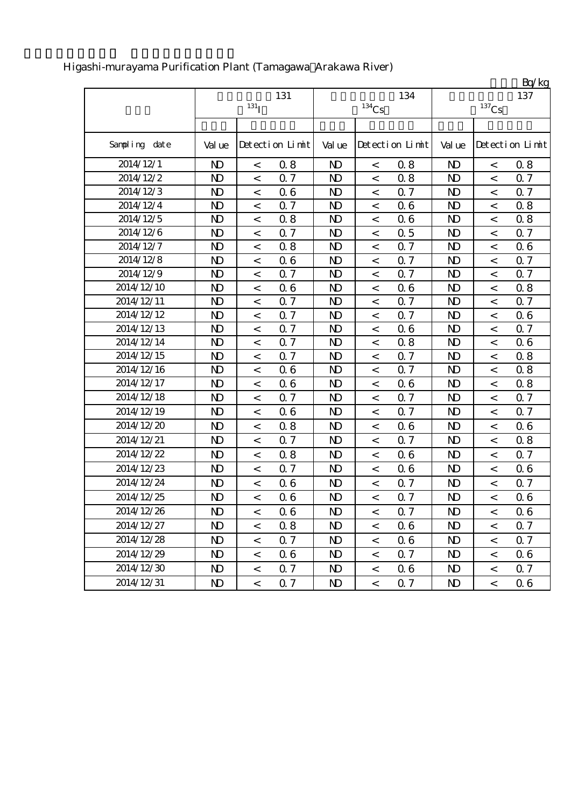|               |                |                          |                 |                |                          |                 |                |          | Bq/kg           |
|---------------|----------------|--------------------------|-----------------|----------------|--------------------------|-----------------|----------------|----------|-----------------|
|               |                |                          | 131             |                |                          | 134             |                |          | 137             |
|               |                | $131$ <sup>T</sup>       |                 |                | $^{134}\mathrm{Cs}$      |                 |                | $137$ Cs |                 |
|               |                |                          |                 |                |                          |                 |                |          |                 |
| Sampling date | Val ue         |                          | Detection Limit | Val ue         |                          | Detection Limit | Val ue         |          | Detection Limit |
| 2014/12/1     | N <sub>D</sub> | $\,<$                    | 0.8             | N <sub>D</sub> | $\,<\,$                  | 0.8             | $\mathbf{D}$   | $\,<$    | 0.8             |
| 2014/12/2     | $\mathbf{D}$   | $\,<$                    | 0.7             | N <sub>D</sub> | $\,<\,$                  | 0.8             | N <sub>D</sub> | $\lt$    | 0.7             |
| 2014/12/3     | N <sub>D</sub> | $\,<$                    | 06              | N <sub>D</sub> | $\,<\,$                  | 0.7             | $\mathbf{D}$   | $\,<$    | 0.7             |
| 2014/12/4     | $\mathbf{D}$   | $\,<$                    | 0.7             | N <sub>D</sub> | $\,<$                    | 06              | N <sub>D</sub> | $\,<\,$  | 0.8             |
| 2014/12/5     | $\mathbf{D}$   | $\,<$                    | 0.8             | $\mathbf{D}$   | $\,<\,$                  | 06              | $\mathbf{D}$   | $\,<$    | 0.8             |
| 2014/12/6     | $\mathbf{D}$   | $\,<$                    | 0.7             | N <sub>D</sub> | $\,<\,$                  | 0.5             | N <sub>D</sub> | $\lt$    | 0.7             |
| 2014/12/7     | N <sub>D</sub> | $\,<$                    | 0.8             | N <sub>D</sub> | $\,<$                    | 0.7             | N <sub>D</sub> | $\,<$    | 0.6             |
| 2014/12/8     | $\mathbf{D}$   | $\,<\,$                  | 06              | $\mathbf{D}$   | $\,<\,$                  | 0.7             | $\mathbf{D}$   | $\,<\,$  | 0.7             |
| 2014/12/9     | N <sub>D</sub> | $\,<$                    | 0.7             | N <sub>D</sub> | $\,<$                    | 0.7             | $\mathbf{D}$   | $\,<$    | 0.7             |
| 2014/12/10    | $\mathbf{D}$   | $\,<$                    | 06              | N <sub>D</sub> | $\,<\,$                  | 06              | N <sub>D</sub> | $\,<$    | 0.8             |
| 2014/12/11    | N <sub>D</sub> | $\,<$                    | 0.7             | N <sub>D</sub> | $\,<$                    | 0.7             | N <sub>D</sub> | $\,<$    | 0.7             |
| 2014/12/12    | N <sub>D</sub> | $\,<$                    | Q <sub>7</sub>  | N <sub>D</sub> | $\,<\,$                  | 0.7             | N <sub>D</sub> | $\,<$    | 0.6             |
| 2014/12/13    | $\mathbf{D}$   | $\,<$                    | 0.7             | $\mathbf{D}$   | $\,<\,$                  | 06              | $\mathbf{D}$   | $\,<$    | 0.7             |
| 2014/12/14    | $\mathbf{D}$   | $\,<$                    | 0.7             | N <sub>D</sub> | $\,<$                    | 0.8             | N <sub>D</sub> | $\,<$    | 0.6             |
| 2014/12/15    | N <sub>D</sub> | $\,<$                    | 0.7             | N <sub>D</sub> | $\,<$                    | 0.7             | N <sub>D</sub> | $\,<$    | 0.8             |
| 2014/12/16    | $\mathbf{D}$   | $\,<$                    | 06              | $\mathbf{D}$   | $\,<\,$                  | 0.7             | N <sub>D</sub> | $\,<$    | 0.8             |
| 2014/12/17    | $\mathbf{D}$   | $\,<$                    | 06              | N <sub>D</sub> | $\,<$                    | 06              | $\mathbf{D}$   | $\,<$    | 0.8             |
| 2014/12/18    | $\mathbf{D}$   | $\,<\,$                  | 0.7             | $\mathbf{D}$   | $\,<\,$                  | 0.7             | $\mathbf{D}$   | $\,<\,$  | 0.7             |
| 2014/12/19    | $\mathbf{D}$   | $\,<$                    | 06              | N <sub>D</sub> | $\,<\,$                  | 0.7             | $\mathbf{D}$   | $\,<$    | 0.7             |
| 2014/12/20    | $\mathbf{D}$   | $\,<$                    | 0.8             | N <sub>D</sub> | $\,<$                    | 06              | $\mathbf{D}$   | $\,<\,$  | 0.6             |
| 2014/12/21    | $\mathbf{D}$   | $\,<$                    | 0.7             | N <sub>D</sub> | $\,<\,$                  | 0.7             | N <sub>D</sub> | $\,<$    | 0.8             |
| 2014/12/22    | $\mathbf{D}$   | $\,<$                    | 0.8             | $\mathbf{D}$   | $\,<\,$                  | 06              | N <sub>D</sub> | $\,<\,$  | 0.7             |
| 2014/12/23    | $\mathbf{D}$   | $\,<$                    | 0.7             | N <sub>D</sub> | $\,<\,$                  | 06              | N <sub>D</sub> | $\,<$    | 0.6             |
| 2014/12/24    | $\mathbf{D}$   | $\,<$                    | 06              | N <sub>D</sub> | $\,<\,$                  | 0.7             | N <sub>D</sub> | $\,<\,$  | 0.7             |
| 2014/12/25    | $\mathbf{D}$   | $\,<$                    | 06              | N <sub>D</sub> | $\,<$                    | 0.7             | N <sub>D</sub> | $\,<$    | 0.6             |
| 2014/12/26    | N <sub>D</sub> | $\,<\,$                  | 06              | $\mathbf{D}$   | $\,<$                    | 0.7             | N <sub>D</sub> | $\,<\,$  | 0.6             |
| 2014/12/27    | $\mathbf{D}$   | $\overline{\phantom{0}}$ | 0.8             | N <sub>D</sub> | $\overline{\phantom{0}}$ | 06              | N <sub>D</sub> | $\prec$  | 0.7             |
| 2014/12/28    | $\mathbf{D}$   | $\overline{\phantom{a}}$ | 0.7             | ND.            | $\,<\,$                  | 06              | ND.            | $\,<\,$  | 0.7             |
| 2014/12/29    | $\mathbf{D}$   | $\overline{\phantom{0}}$ | 06              | ND.            | $\lt$                    | 0.7             | ND.            | $\,<\,$  | 0.6             |
| 2014/12/30    | $\mathbf{D}$   | $\,<\,$                  | 0.7             | ND.            | $\,<\,$                  | 06              | N <sub>D</sub> | $\,<\,$  | 0.7             |
| 2014/12/31    | ND.            | $\,<\,$                  | 0.7             | ND.            | $\,<\,$                  | 0.7             | N <sub>D</sub> | $\lt$    | 06              |

## Higashi-murayama Purification Plant (Tamagawa Arakawa River)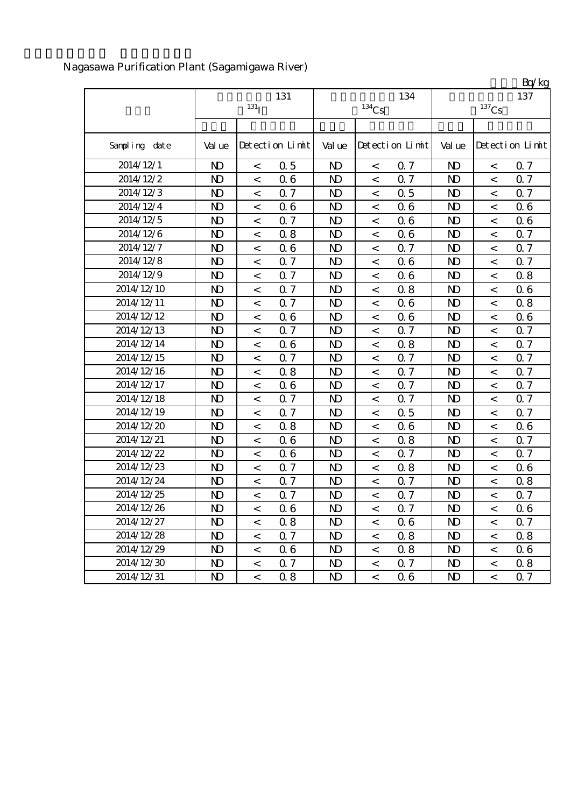|               |                |                  |                 |                |                     |                 |                |                     | Bq/kg           |
|---------------|----------------|------------------|-----------------|----------------|---------------------|-----------------|----------------|---------------------|-----------------|
|               |                | 131              |                 |                |                     | 137             |                |                     |                 |
|               |                | 131 <sub>I</sub> |                 |                | $^{134}\mathrm{Cs}$ |                 |                | $^{137}\mathrm{Cs}$ |                 |
|               |                |                  |                 |                |                     |                 |                |                     |                 |
| Sampling date | Val ue         |                  | Detection Limit | Val ue         |                     | Detection Limit | Val ue         |                     | Detection Limit |
| 2014/12/1     | $\mathbf{D}$   | $\,<\,$          | 0.5             | N <sub>D</sub> | $\,<\,$             | Q 7             | $\mathbf{N}$   | $\,<\,$             | 0.7             |
| 2014/12/2     | N <sub>D</sub> | $\,<$            | 06              | N <sub>D</sub> | $\lt$               | 0.7             | N <sub>D</sub> | $\,<$               | <b>Q7</b>       |
| 2014/12/3     | N <sub>D</sub> | $\,<$            | 0.7             | $\mathbf{D}$   | $\,<$               | 0.5             | N <sub>D</sub> | $\,<$               | <b>Q</b> 7      |
| 2014/12/4     | N <sub>D</sub> | $\,<$            | 06              | N <sub>D</sub> | $\,<$               | 06              | $\mathbf{D}$   | $\,<$               | 0.6             |
| 2014/12/5     | N <sub>D</sub> | $\,<\,$          | 0.7             | $\mathbf{D}$   | $\,<$               | 06              | $\mathbf{D}$   | $\,<\,$             | 0.6             |
| 2014/12/6     | N <sub>D</sub> | $\,<\,$          | 0.8             | N <sub>D</sub> | $\,<\,$             | 06              | N <sub>D</sub> | $\,<$               | 0.7             |
| 2014/12/7     | N <sub>D</sub> | $\,<$            | 06              | N <sub>D</sub> | $\,<$               | 0.7             | N <sub>D</sub> | $\,<$               | 0.7             |
| 2014/12/8     | N <sub>D</sub> | $\,<\,$          | 0.7             | $\mathbf{D}$   | $\,<$               | 06              | $\mathbf{D}$   | $\,<$               | 0.7             |
| 2014/12/9     | N <sub>D</sub> | $\,<$            | 0.7             | N <sub>D</sub> | $\,<$               | 06              | N <sub>D</sub> | $\,<$               | 0.8             |
| 2014/12/10    | N <sub>D</sub> | $\,<$            | 0.7             | $\mathbf{D}$   | $\,<$               | 0.8             | $\mathbf{D}$   | $\,<\,$             | 06              |
| 2014/12/11    | N <sub>D</sub> | $\,<$            | 0.7             | N <sub>D</sub> | $\,<\,$             | 06              | N <sub>D</sub> | $\,<$               | 0.8             |
| 2014/12/12    | N <sub>D</sub> | $\,<$            | 06              | N <sub>D</sub> | $\,<$               | 06              | $\mathbf{D}$   | $\,<$               | 0.6             |
| 2014/12/13    | N <sub>D</sub> | $\,<\,$          | 0.7             | $\mathbf{D}$   | $\,<$               | 0.7             | $\mathbf{D}$   | $\,<$               | 0.7             |
| 2014/12/14    | N <sub>D</sub> | $\,<$            | 06              | $\mathbf{D}$   | $\,<$               | 0.8             | $\mathbf{D}$   | $\,<\,$             | 0.7             |
| 2014/12/15    | N <sub>D</sub> | $\,<\,$          | 0.7             | N <sub>D</sub> | $\,<$               | <b>Q</b> 7      | $\mathbf{D}$   | $\,<\,$             | 0.7             |
| 2014/12/16    | N <sub>D</sub> | $\,<$            | 0.8             | N <sub>D</sub> | $\,<$               | 0.7             | N <sub>D</sub> | $\,<$               | 0.7             |
| 2014/12/17    | N <sub>D</sub> | $\,<$            | 06              | N <sub>D</sub> | $\,<$               | 0.7             | $\mathbf{D}$   | $\,<$               | 0.7             |
| 2014/12/18    | $\mathbf{D}$   | $\,<$            | 0.7             | $\mathbf{D}$   | $\,<$               | 0.7             | $\mathbf{D}$   | $\,<\,$             | 0.7             |
| 2014/12/19    | N <sub>D</sub> | $\,<\,$          | 0.7             | N <sub>D</sub> | $\,<$               | 0.5             | N <sub>D</sub> | $\,<$               | 0.7             |
| 2014/12/20    | N <sub>D</sub> | $\,<$            | 0.8             | N <sub>D</sub> | $\,<$               | 06              | N <sub>D</sub> | $\,<\,$             | 06              |
| 2014/12/21    | N <sub>D</sub> | $\,<$            | 06              | $\mathbf{D}$   | $\,<\,$             | 0.8             | N <sub>D</sub> | $\,<$               | 0.7             |
| 2014/12/22    | N <sub>D</sub> | $\,<$            | 06              | N <sub>D</sub> | $\,<$               | 0.7             | $\mathbf{D}$   | $\,<$               | 0.7             |
| 2014/12/23    | N <sub>D</sub> | $\,<$            | 0.7             | $\mathbf{D}$   | $\,<$               | 0.8             | $\mathbf{D}$   | $\,<$               | 06              |
| 2014/12/24    | N <sub>D</sub> | $\,<\,$          | 0.7             | N <sub>D</sub> | $\,<$               | 0.7             | N <sub>D</sub> | $\,<\,$             | 0.8             |
| 2014/12/25    | N <sub>D</sub> | $\,<\,$          | 0.7             | N <sub>D</sub> | $\,<$               | 0.7             | N <sub>D</sub> | $\,<\,$             | 0.7             |
| 2014/12/26    | $\mathbf{N}$   | $\,<\,$          | 06              | $\mathbf{D}$   | $\,<$               | 0.7             | $\mathbf{D}$   | $\,<\,$             | 06              |
| 2014/12/27    | $\mathbf{D}$   | $\,<\,$          | 0.8             | N <sub>D</sub> | $\,<$               | 06              | $\mathbf{D}$   | $\,<$               | 0.7             |
| 2014/12/28    | ND.            | $\,<\,$          | 0.7             | N)             | $\,<$               | 0.8             | N <sub>D</sub> | $\,<\,$             | 0.8             |
| 2014/12/29    | $\mathbf{D}$   | $\,<\,$          | 06              | N)             | $\,<\,$             | 0.8             | N <sub>D</sub> | $\,<\,$             | 0.6             |
| 2014/12/30    | ND.            | $\,<$            | 0.7             | ND.            | $\,<$               | 0.7             | N <sub>D</sub> | $\,<$               | 0.8             |
| 2014/12/31    | $\mathbf{D}$   | $\,<\,$          | 0.8             | $\mathbf{D}$   | $\,<$               | 06              | $\mathbf{D}$   | $\,<\,$             | 0.7             |

## Nagasawa Purification Plant (Sagamigawa River)